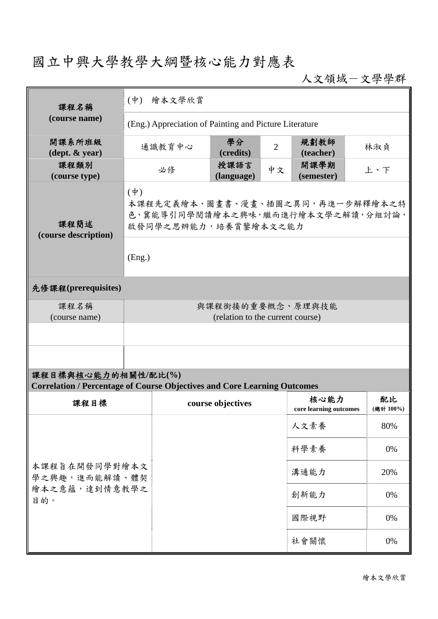## 國立中興大學教學大綱暨核心能力對應表

人文領域-文學學群

| 課程名稱<br>(course name)                                                                   | (中) 繪本文學欣賞                                                                                                |        |                    |                |                        |  |          |
|-----------------------------------------------------------------------------------------|-----------------------------------------------------------------------------------------------------------|--------|--------------------|----------------|------------------------|--|----------|
|                                                                                         | (Eng.) Appreciation of Painting and Picture Literature                                                    |        |                    |                |                        |  |          |
| 開課系所班級<br>(dept. & year)                                                                |                                                                                                           | 通識教育中心 | 學分<br>(credits)    | $\overline{2}$ | 規劃教師<br>(teacher)      |  | 林淑貞      |
| 課程類別<br>(course type)                                                                   |                                                                                                           | 必修     | 授課語言<br>(language) | 中文             | 開課學期<br>(semester)     |  | 上、下      |
| 課程簡述<br>(course description)                                                            | $(\phi)$<br>本課程先定義繪本、圖畫書、漫畫、插圖之異同,再進一步解釋繪本之特<br>色,冀能導引同學閱讀繪本之興味,繼而進行繪本文學之解讀,分組討論,<br>啟發同學之思辨能力,培養賞鑒繪本文之能力 |        |                    |                |                        |  |          |
|                                                                                         | (Eng.)                                                                                                    |        |                    |                |                        |  |          |
| 先修課程(prerequisites)                                                                     |                                                                                                           |        |                    |                |                        |  |          |
| 課程名稱<br>(course name)                                                                   | 與課程銜接的重要概念、原理與技能<br>(relation to the current course)                                                      |        |                    |                |                        |  |          |
|                                                                                         |                                                                                                           |        |                    |                |                        |  |          |
|                                                                                         |                                                                                                           |        |                    |                |                        |  |          |
| 課程目標與核心能力的相關性/配比(%)                                                                     |                                                                                                           |        |                    |                |                        |  |          |
| <b>Correlation / Percentage of Course Objectives and Core Learning Outcomes</b><br>課程目標 |                                                                                                           |        | course objectives  |                | 核心能力                   |  | 配比       |
|                                                                                         |                                                                                                           |        |                    |                | core learning outcomes |  | (總計100%) |
|                                                                                         |                                                                                                           |        |                    |                | 人文素養                   |  | 80%      |
|                                                                                         |                                                                                                           |        |                    |                | 科學素養                   |  | 0%       |
| 本課程旨在開發同學對繪本文<br>學之興趣,進而能解讀、體契                                                          |                                                                                                           |        |                    |                | 溝通能力                   |  | 20%      |
| 繪本之意蘊,達到情意教學之<br>目的。                                                                    |                                                                                                           |        |                    |                | 創新能力                   |  | 0%       |
|                                                                                         |                                                                                                           |        |                    |                | 國際視野                   |  | 0%       |
|                                                                                         |                                                                                                           |        |                    |                | 社會關懷                   |  | 0%       |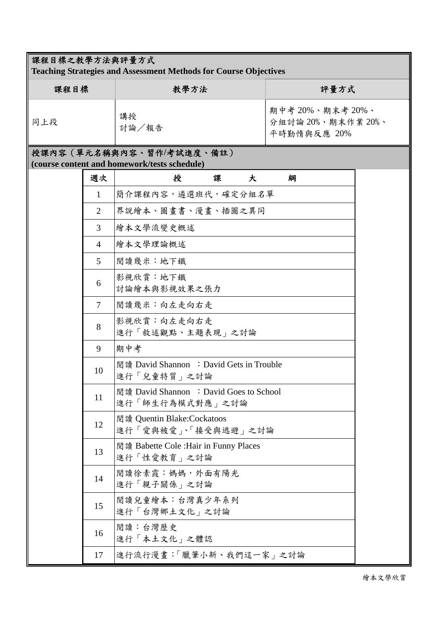| 課程目標之教學方法與評量方式<br><b>Teaching Strategies and Assessment Methods for Course Objectives</b> |                |                                                            |                                                       |  |  |  |  |  |  |
|-------------------------------------------------------------------------------------------|----------------|------------------------------------------------------------|-------------------------------------------------------|--|--|--|--|--|--|
| 課程目標                                                                                      |                | 教學方法                                                       | 評量方式                                                  |  |  |  |  |  |  |
| 同上段                                                                                       |                | 講授<br>討論/報告                                                | 期中考 20%、期末考 20%、<br>分組討論 20%、期末作業 20%、<br>平時勤惰與反應 20% |  |  |  |  |  |  |
| 授課內容 (單元名稱與內容、習作/考試進度、備註)<br>(course content and homework/tests schedule)                 |                |                                                            |                                                       |  |  |  |  |  |  |
|                                                                                           | 週次             | 授<br>課<br>大                                                | 綱                                                     |  |  |  |  |  |  |
|                                                                                           | 1              | 簡介課程內容,遴選班代,確定分組名單                                         |                                                       |  |  |  |  |  |  |
|                                                                                           | 2              | 界說繪本、圖畫書、漫畫、插圖之異同                                          |                                                       |  |  |  |  |  |  |
|                                                                                           | 3              | 繪本文學流變史概述                                                  |                                                       |  |  |  |  |  |  |
|                                                                                           | $\overline{4}$ | 繪本文學理論概述                                                   |                                                       |  |  |  |  |  |  |
|                                                                                           | $\mathfrak{S}$ | 閱讀幾米:地下鐵                                                   |                                                       |  |  |  |  |  |  |
|                                                                                           | 6              | 影視欣賞:地下鐵<br>討論繪本與影視效果之張力                                   |                                                       |  |  |  |  |  |  |
|                                                                                           | $\overline{7}$ | 閲讀幾米:向左走向右走                                                |                                                       |  |  |  |  |  |  |
|                                                                                           | 8              | 影視欣賞:向左走向右走<br>進行「敘述觀點、主題表現」之討論                            |                                                       |  |  |  |  |  |  |
|                                                                                           | 9              | 期中考                                                        |                                                       |  |  |  |  |  |  |
|                                                                                           | 10             | 閲讀 David Shannon : David Gets in Trouble<br>進行「兒童特質」之討論    |                                                       |  |  |  |  |  |  |
|                                                                                           | 11             | 閲讀 David Shannon : David Goes to School<br>進行「師生行為模式對應」之討論 |                                                       |  |  |  |  |  |  |
|                                                                                           | 12             | 閲讀 Quentin Blake:Cockatoos<br>進行「愛與被愛」、「接受與逃避」之討論          |                                                       |  |  |  |  |  |  |
|                                                                                           | 13             | 閲讀 Babette Cole : Hair in Funny Places<br>進行「性愛教育」之討論      |                                                       |  |  |  |  |  |  |
|                                                                                           | 14             | 閱讀徐素霞:媽媽,外面有陽光<br>進行「親子關係」之討論                              |                                                       |  |  |  |  |  |  |
|                                                                                           | 15             | 閲讀兒童繪本:台灣真少年系列<br>進行「台灣鄉土文化」之討論                            |                                                       |  |  |  |  |  |  |
|                                                                                           | 16             | 閱讀:台灣歷史<br>進行「本土文化」之體認                                     |                                                       |  |  |  |  |  |  |
|                                                                                           | 17             | 進行流行漫畫:「臘筆小新、我們這一家」之討論                                     |                                                       |  |  |  |  |  |  |